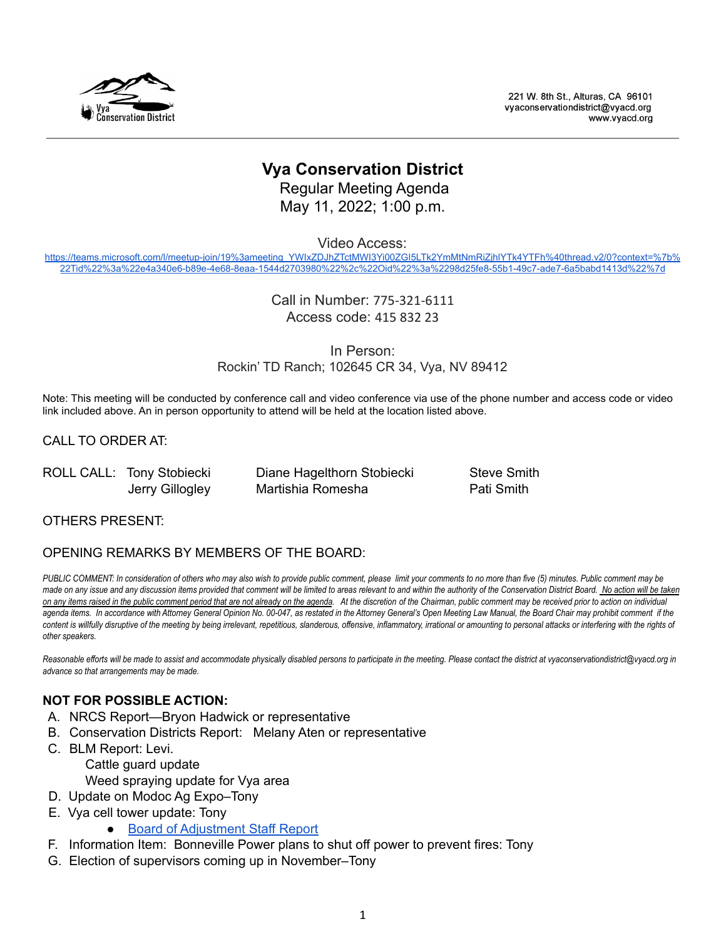

221 W. 8th St., Alturas, CA 96101 vvaconservationdistrict@vvacd.org www.vyacd.org

# **Vya Conservation District**

Regular Meeting Agenda May 11, 2022; 1:00 p.m.

Video Access:

[https://teams.microsoft.com/l/meetup-join/19%3ameeting\\_YWIxZDJhZTctMWI3Yi00ZGI5LTk2YmMtNmRiZjhlYTk4YTFh%40thread.v2/0?context=%7b%](https://teams.microsoft.com/l/meetup-join/19%3ameeting_YWIxZDJhZTctMWI3Yi00ZGI5LTk2YmMtNmRiZjhlYTk4YTFh%40thread.v2/0?context=%7b%22Tid%22%3a%22e4a340e6-b89e-4e68-8eaa-1544d2703980%22%2c%22Oid%22%3a%2298d25fe8-55b1-49c7-ade7-6a5babd1413d%22%7d) [22Tid%22%3a%22e4a340e6-b89e-4e68-8eaa-1544d2703980%22%2c%22Oid%22%3a%2298d25fe8-55b1-49c7-ade7-6a5babd1413d%22%7d](https://teams.microsoft.com/l/meetup-join/19%3ameeting_YWIxZDJhZTctMWI3Yi00ZGI5LTk2YmMtNmRiZjhlYTk4YTFh%40thread.v2/0?context=%7b%22Tid%22%3a%22e4a340e6-b89e-4e68-8eaa-1544d2703980%22%2c%22Oid%22%3a%2298d25fe8-55b1-49c7-ade7-6a5babd1413d%22%7d)

> Call in Number: 775-321-6111 Access code: 415 832 23

In Person: Rockin' TD Ranch; 102645 CR 34, Vya, NV 89412

Note: This meeting will be conducted by conference call and video conference via use of the phone number and access code or video link included above. An in person opportunity to attend will be held at the location listed above.

CALL TO ORDER AT:

ROLL CALL: Tony Stobiecki Diane Hagelthorn Stobiecki Steve Smith

Jerry Gillogley Martishia Romesha **Pati Smith** 

OTHERS PRESENT:

#### OPENING REMARKS BY MEMBERS OF THE BOARD:

PUBLIC COMMENT: In consideration of others who may also wish to provide public comment, please limit your comments to no more than five (5) minutes. Public comment may be made on any issue and any discussion items provided that comment will be limited to areas relevant to and within the authority of the Conservation District Board. No action will be taken on any items raised in the public comment period that are not already on the agenda. At the discretion of the Chairman, public comment may be received prior to action on individual agenda items. In accordance with Attorney General Opinion No. 00-047, as restated in the Attorney General's Open Meeting Law Manual, the Board Chair may prohibit comment if the content is willfully disruptive of the meeting by being irrelevant, repetitious, slanderous, offensive, inflammatory, irrational or amounting to personal attacks or interfering with the rights of *other speakers.*

Reasonable efforts will be made to assist and accommodate physically disabled persons to participate in the meeting. Please contact the district at vyaconservationdistrict@vyacd.org in *advance so that arrangements may be made.*

# **NOT FOR POSSIBLE ACTION:**

- A. NRCS Report—Bryon Hadwick or representative
- B. Conservation Districts Report: Melany Aten or representative
- C. BLM Report: Levi.
	- Cattle guard update
	- Weed spraying update for Vya area
- D. Update on Modoc Ag Expo–Tony
- E. Vya cell tower update: Tony
	- Board of [Adjustment](https://www.washoecounty.gov/csd/planning_and_development/board_commission/board_of_adjustment/2022/Files/WAC22-0003sr.pdf) Staff Report
- F. Information Item: Bonneville Power plans to shut off power to prevent fires: Tony
- G. Election of supervisors coming up in November–Tony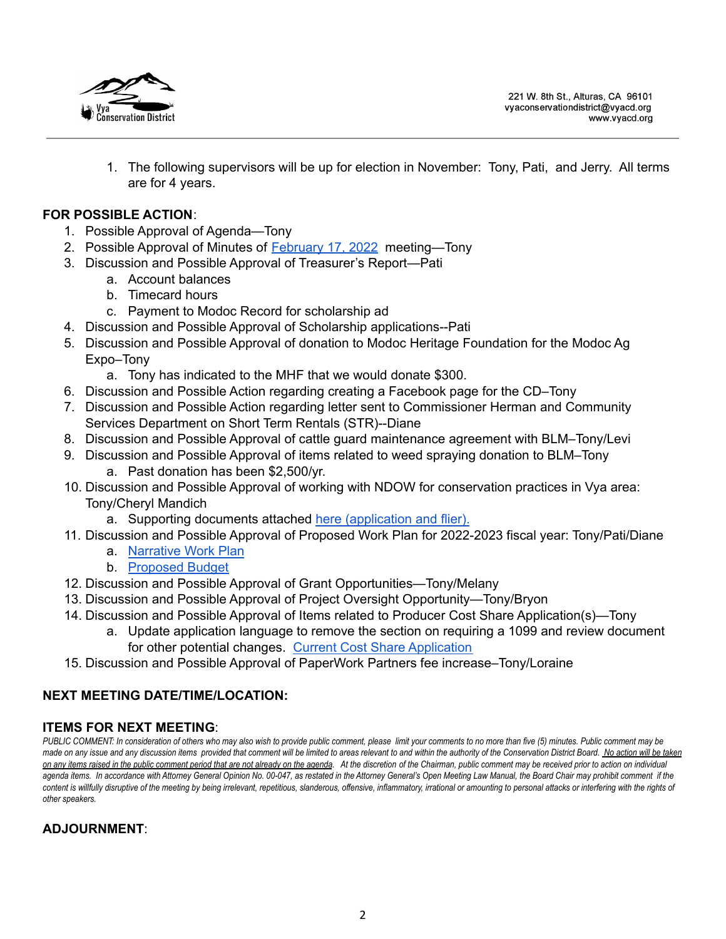

221 W. 8th St., Alturas, CA 96101 vvaconservationdistrict@vvacd.org www.vyacd.org

1. The following supervisors will be up for election in November: Tony, Pati, and Jerry. All terms are for 4 years.

### **FOR POSSIBLE ACTION**:

- 1. Possible Approval of Agenda—Tony
- 2. Possible Approval of Minutes of **[February](https://docs.google.com/document/d/1JzIMO4xvMd8X6baPyjnjxtg065oiMFar/edit?usp=sharing&ouid=107076917233833825385&rtpof=true&sd=true) 17, 2022** meeting-Tony
- 3. Discussion and Possible Approval of Treasurer's Report—Pati
	- a. Account balances
	- b. Timecard hours
	- c. Payment to Modoc Record for scholarship ad
- 4. Discussion and Possible Approval of Scholarship applications--Pati
- 5. Discussion and Possible Approval of donation to Modoc Heritage Foundation for the Modoc Ag Expo–Tony
	- a. Tony has indicated to the MHF that we would donate \$300.
- 6. Discussion and Possible Action regarding creating a Facebook page for the CD–Tony
- 7. Discussion and Possible Action regarding letter sent to Commissioner Herman and Community Services Department on Short Term Rentals (STR)--Diane
- 8. Discussion and Possible Approval of cattle guard maintenance agreement with BLM–Tony/Levi
- 9. Discussion and Possible Approval of items related to weed spraying donation to BLM–Tony a. Past donation has been \$2,500/yr.
- 10. Discussion and Possible Approval of working with NDOW for conservation practices in Vya area: Tony/Cheryl Mandich
	- a. Supporting documents attached here [\(application](https://drive.google.com/drive/folders/142GDaSJmYqMzn8O7wMtwWrUSlJgUMfTs) and flier).
- 11. Discussion and Possible Approval of Proposed Work Plan for 2022-2023 fiscal year: Tony/Pati/Diane
	- a. [Narrative](https://drive.google.com/file/d/1hSRS9ftHP1CDPjd8swRC-cR4atAdisab/view?usp=sharing) Work Plan
	- b. [Proposed](https://docs.google.com/spreadsheets/d/10mTVrfLOktwXHGnQCqdfdlPRMbiCpFX_/edit?usp=sharing&ouid=107076917233833825385&rtpof=true&sd=true) Budget
- 12. Discussion and Possible Approval of Grant Opportunities—Tony/Melany
- 13. Discussion and Possible Approval of Project Oversight Opportunity—Tony/Bryon
- 14. Discussion and Possible Approval of Items related to Producer Cost Share Application(s)—Tony
	- a. Update application language to remove the section on requiring a 1099 and review document for other potential changes. Current Cost Share [Application](https://drive.google.com/file/d/1JsBIK-cyKvgjOUQxseslX0dOoGTQrXvD/view?usp=sharing)
- 15. Discussion and Possible Approval of PaperWork Partners fee increase–Tony/Loraine

# **NEXT MEETING DATE/TIME/LOCATION:**

# **ITEMS FOR NEXT MEETING**:

PUBLIC COMMENT: In consideration of others who may also wish to provide public comment, please limit your comments to no more than five (5) minutes. Public comment may be made on any issue and any discussion items provided that comment will be limited to areas relevant to and within the authority of the Conservation District Board. No action will be taken on any items raised in the public comment period that are not already on the agenda. At the discretion of the Chairman, public comment may be received prior to action on individual agenda items. In accordance with Attorney General Opinion No. 00-047, as restated in the Attorney General's Open Meeting Law Manual, the Board Chair may prohibit comment if the content is willfully disruptive of the meeting by being irrelevant, repetitious, slanderous, offensive, inflammatory, irrational or amounting to personal attacks or interfering with the rights of *other speakers.*

# **ADJOURNMENT**: